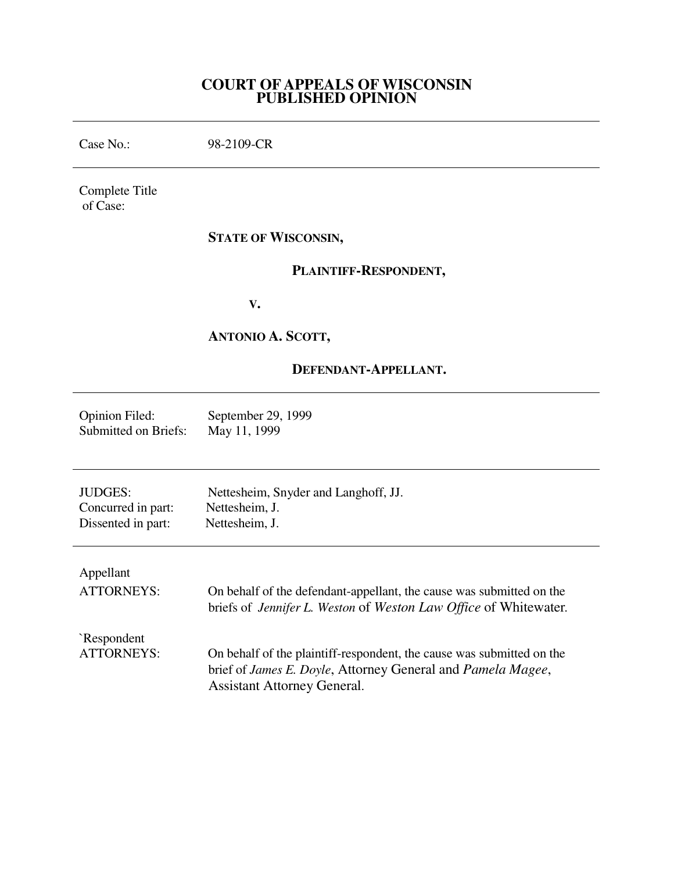# **COURT OF APPEALS OF WISCONSIN PUBLISHED OPINION**

Case No.: 98-2109-CR Complete Title of Case: **STATE OF WISCONSIN, PLAINTIFF-RESPONDENT, V. ANTONIO A. SCOTT, DEFENDANT-APPELLANT.** Opinion Filed: September 29, 1999<br>Submitted on Briefs: May 11, 1999 Submitted on Briefs: JUDGES: Nettesheim, Snyder and Langhoff, JJ. Concurred in part: Nettesheim, J. Dissented in part: Nettesheim, J. Appellant ATTORNEYS: On behalf of the defendant-appellant, the cause was submitted on the briefs of *Jennifer L. Weston* of *Weston Law Office* of Whitewater*.* `Respondent ATTORNEYS: On behalf of the plaintiff-respondent, the cause was submitted on the brief of *James E. Doyle*, Attorney General and *Pamela Magee*, Assistant Attorney General.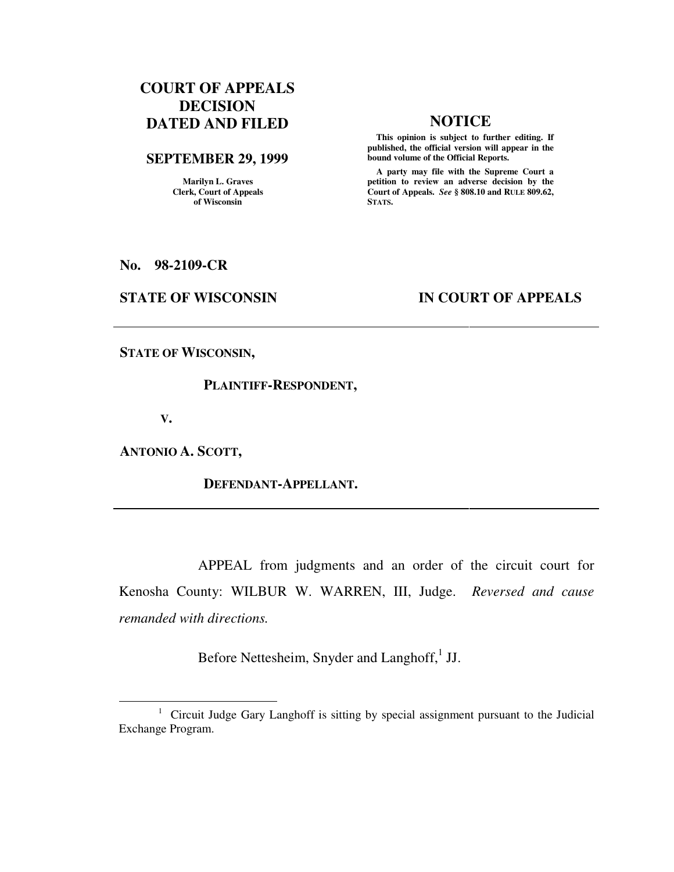# **COURT OF APPEALS DECISION DATED AND FILED NOTICE**

#### **SEPTEMBER 29, 1999**

**Marilyn L. Graves Clerk, Court of Appeals of Wisconsin** 

 **This opinion is subject to further editing. If published, the official version will appear in the bound volume of the Official Reports.**

 **A party may file with the Supreme Court a petition to review an adverse decision by the Court of Appeals.** *See* **§ 808.10 and RULE 809.62, STATS.** 

**No. 98-2109-CR** 

## **STATE OF WISCONSIN IN COURT OF APPEALS**

**STATE OF WISCONSIN,** 

#### **PLAINTIFF-RESPONDENT,**

 **V.** 

 $\overline{a}$ 

**ANTONIO A. SCOTT,** 

## **DEFENDANT-APPELLANT.**

 APPEAL from judgments and an order of the circuit court for Kenosha County: WILBUR W. WARREN, III, Judge. *Reversed and cause remanded with directions.*

Before Nettesheim, Snyder and Langhoff,<sup>1</sup> JJ.

<sup>&</sup>lt;sup>1</sup> Circuit Judge Gary Langhoff is sitting by special assignment pursuant to the Judicial Exchange Program.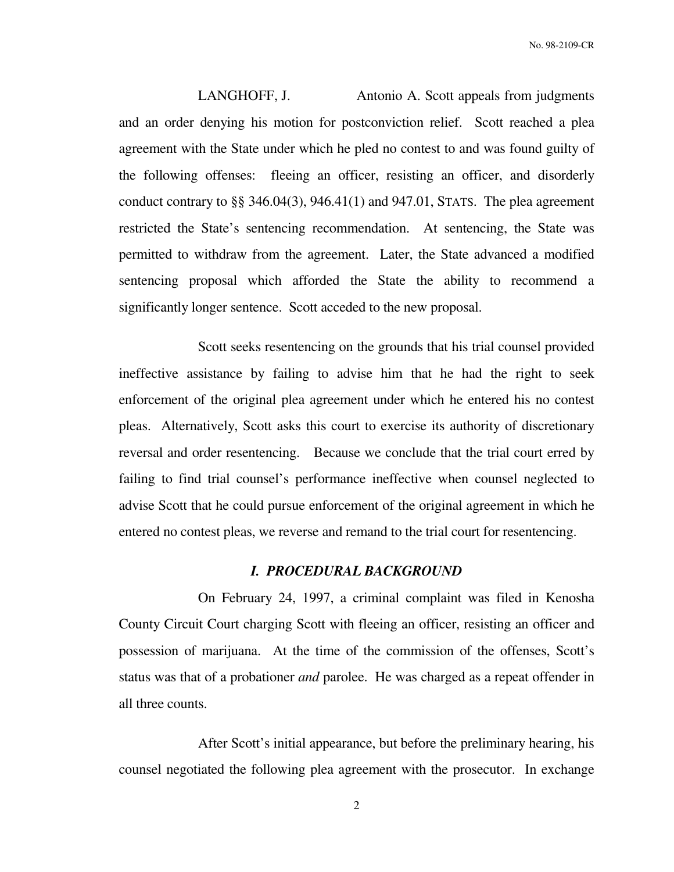LANGHOFF, J. Antonio A. Scott appeals from judgments and an order denying his motion for postconviction relief. Scott reached a plea agreement with the State under which he pled no contest to and was found guilty of the following offenses: fleeing an officer, resisting an officer, and disorderly conduct contrary to  $\S$  346.04(3), 946.41(1) and 947.01, STATS. The plea agreement restricted the State's sentencing recommendation. At sentencing, the State was permitted to withdraw from the agreement. Later, the State advanced a modified sentencing proposal which afforded the State the ability to recommend a significantly longer sentence. Scott acceded to the new proposal.

 Scott seeks resentencing on the grounds that his trial counsel provided ineffective assistance by failing to advise him that he had the right to seek enforcement of the original plea agreement under which he entered his no contest pleas. Alternatively, Scott asks this court to exercise its authority of discretionary reversal and order resentencing. Because we conclude that the trial court erred by failing to find trial counsel's performance ineffective when counsel neglected to advise Scott that he could pursue enforcement of the original agreement in which he entered no contest pleas, we reverse and remand to the trial court for resentencing.

## *I. PROCEDURAL BACKGROUND*

 On February 24, 1997, a criminal complaint was filed in Kenosha County Circuit Court charging Scott with fleeing an officer, resisting an officer and possession of marijuana. At the time of the commission of the offenses, Scott's status was that of a probationer *and* parolee. He was charged as a repeat offender in all three counts.

 After Scott's initial appearance, but before the preliminary hearing, his counsel negotiated the following plea agreement with the prosecutor. In exchange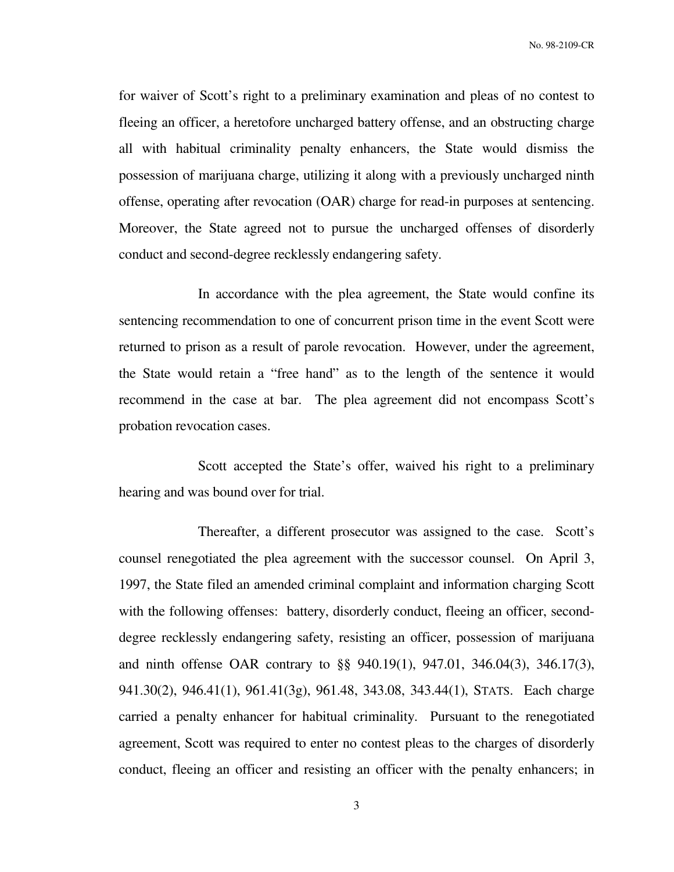for waiver of Scott's right to a preliminary examination and pleas of no contest to fleeing an officer, a heretofore uncharged battery offense, and an obstructing charge all with habitual criminality penalty enhancers, the State would dismiss the possession of marijuana charge, utilizing it along with a previously uncharged ninth offense, operating after revocation (OAR) charge for read-in purposes at sentencing. Moreover, the State agreed not to pursue the uncharged offenses of disorderly conduct and second-degree recklessly endangering safety.

 In accordance with the plea agreement, the State would confine its sentencing recommendation to one of concurrent prison time in the event Scott were returned to prison as a result of parole revocation. However, under the agreement, the State would retain a "free hand" as to the length of the sentence it would recommend in the case at bar. The plea agreement did not encompass Scott's probation revocation cases.

 Scott accepted the State's offer, waived his right to a preliminary hearing and was bound over for trial.

 Thereafter, a different prosecutor was assigned to the case. Scott's counsel renegotiated the plea agreement with the successor counsel. On April 3, 1997, the State filed an amended criminal complaint and information charging Scott with the following offenses: battery, disorderly conduct, fleeing an officer, seconddegree recklessly endangering safety, resisting an officer, possession of marijuana and ninth offense OAR contrary to §§ 940.19(1), 947.01, 346.04(3), 346.17(3), 941.30(2), 946.41(1), 961.41(3g), 961.48, 343.08, 343.44(1), STATS. Each charge carried a penalty enhancer for habitual criminality. Pursuant to the renegotiated agreement, Scott was required to enter no contest pleas to the charges of disorderly conduct, fleeing an officer and resisting an officer with the penalty enhancers; in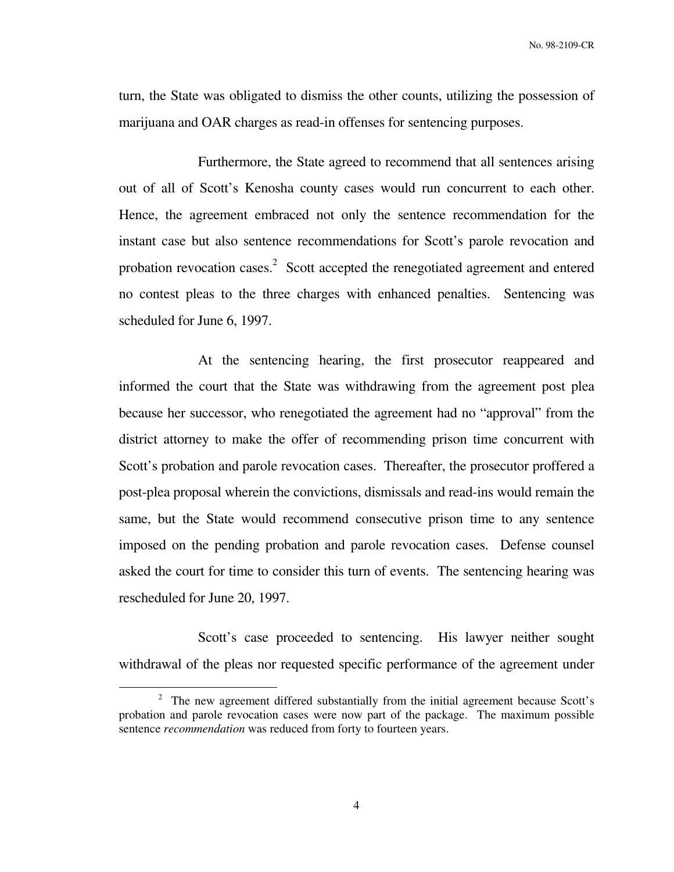turn, the State was obligated to dismiss the other counts, utilizing the possession of marijuana and OAR charges as read-in offenses for sentencing purposes.

 Furthermore, the State agreed to recommend that all sentences arising out of all of Scott's Kenosha county cases would run concurrent to each other. Hence, the agreement embraced not only the sentence recommendation for the instant case but also sentence recommendations for Scott's parole revocation and probation revocation cases.<sup>2</sup> Scott accepted the renegotiated agreement and entered no contest pleas to the three charges with enhanced penalties. Sentencing was scheduled for June 6, 1997.

 At the sentencing hearing, the first prosecutor reappeared and informed the court that the State was withdrawing from the agreement post plea because her successor, who renegotiated the agreement had no "approval" from the district attorney to make the offer of recommending prison time concurrent with Scott's probation and parole revocation cases. Thereafter, the prosecutor proffered a post-plea proposal wherein the convictions, dismissals and read-ins would remain the same, but the State would recommend consecutive prison time to any sentence imposed on the pending probation and parole revocation cases. Defense counsel asked the court for time to consider this turn of events. The sentencing hearing was rescheduled for June 20, 1997.

Scott's case proceeded to sentencing. His lawyer neither sought withdrawal of the pleas nor requested specific performance of the agreement under

<sup>&</sup>lt;sup>2</sup> The new agreement differed substantially from the initial agreement because Scott's probation and parole revocation cases were now part of the package. The maximum possible sentence *recommendation* was reduced from forty to fourteen years.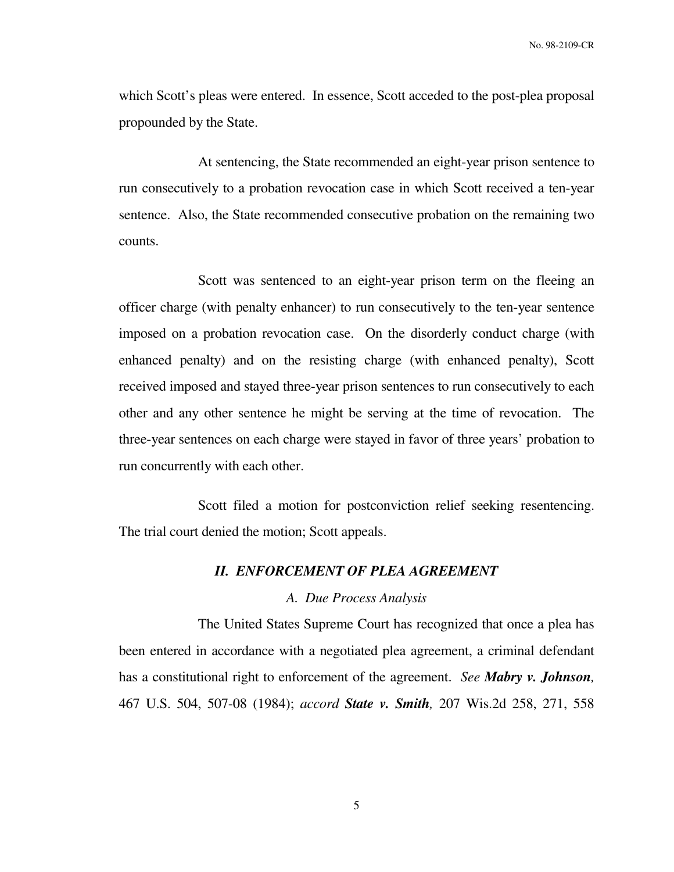which Scott's pleas were entered. In essence, Scott acceded to the post-plea proposal propounded by the State.

 At sentencing, the State recommended an eight-year prison sentence to run consecutively to a probation revocation case in which Scott received a ten-year sentence. Also, the State recommended consecutive probation on the remaining two counts.

 Scott was sentenced to an eight-year prison term on the fleeing an officer charge (with penalty enhancer) to run consecutively to the ten-year sentence imposed on a probation revocation case. On the disorderly conduct charge (with enhanced penalty) and on the resisting charge (with enhanced penalty), Scott received imposed and stayed three-year prison sentences to run consecutively to each other and any other sentence he might be serving at the time of revocation. The three-year sentences on each charge were stayed in favor of three years' probation to run concurrently with each other.

 Scott filed a motion for postconviction relief seeking resentencing. The trial court denied the motion; Scott appeals.

## *II. ENFORCEMENT OF PLEA AGREEMENT*

## *A. Due Process Analysis*

 The United States Supreme Court has recognized that once a plea has been entered in accordance with a negotiated plea agreement, a criminal defendant has a constitutional right to enforcement of the agreement. *See Mabry v. Johnson,* 467 U.S. 504, 507-08 (1984); *accord State v. Smith,* 207 Wis.2d 258, 271, 558

5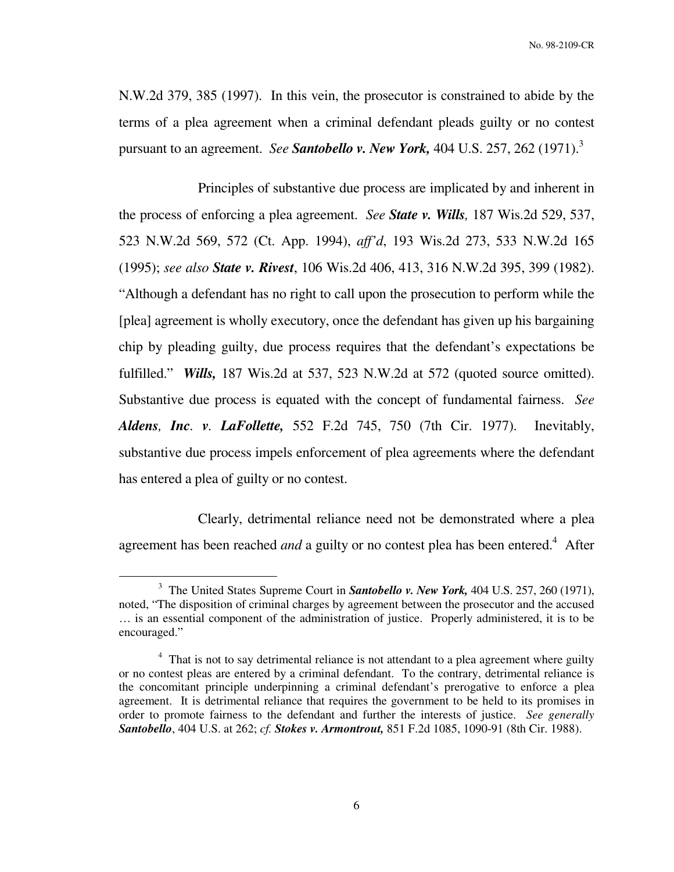N.W.2d 379, 385 (1997). In this vein, the prosecutor is constrained to abide by the terms of a plea agreement when a criminal defendant pleads guilty or no contest pursuant to an agreement. *See Santobello v. New York,* 404 U.S. 257, 262 (1971).<sup>3</sup>

 Principles of substantive due process are implicated by and inherent in the process of enforcing a plea agreement. *See State v. Wills,* 187 Wis.2d 529, 537, 523 N.W.2d 569, 572 (Ct. App. 1994), *aff'd*, 193 Wis.2d 273, 533 N.W.2d 165 (1995); *see also State v. Rivest*, 106 Wis.2d 406, 413, 316 N.W.2d 395, 399 (1982). "Although a defendant has no right to call upon the prosecution to perform while the [plea] agreement is wholly executory, once the defendant has given up his bargaining chip by pleading guilty, due process requires that the defendant's expectations be fulfilled." *Wills,* 187 Wis.2d at 537, 523 N.W.2d at 572 (quoted source omitted). Substantive due process is equated with the concept of fundamental fairness. *See Aldens, Inc. v. LaFollette,* 552 F.2d 745, 750 (7th Cir. 1977). Inevitably, substantive due process impels enforcement of plea agreements where the defendant has entered a plea of guilty or no contest.

 Clearly, detrimental reliance need not be demonstrated where a plea agreement has been reached *and* a guilty or no contest plea has been entered.<sup>4</sup> After

<sup>3</sup> The United States Supreme Court in *Santobello v. New York,* 404 U.S. 257, 260 (1971), noted, "The disposition of criminal charges by agreement between the prosecutor and the accused … is an essential component of the administration of justice. Properly administered, it is to be encouraged."

<sup>&</sup>lt;sup>4</sup> That is not to say detrimental reliance is not attendant to a plea agreement where guilty or no contest pleas are entered by a criminal defendant. To the contrary, detrimental reliance is the concomitant principle underpinning a criminal defendant's prerogative to enforce a plea agreement. It is detrimental reliance that requires the government to be held to its promises in order to promote fairness to the defendant and further the interests of justice. *See generally Santobello*, 404 U.S. at 262; *cf. Stokes v. Armontrout,* 851 F.2d 1085, 1090-91 (8th Cir. 1988).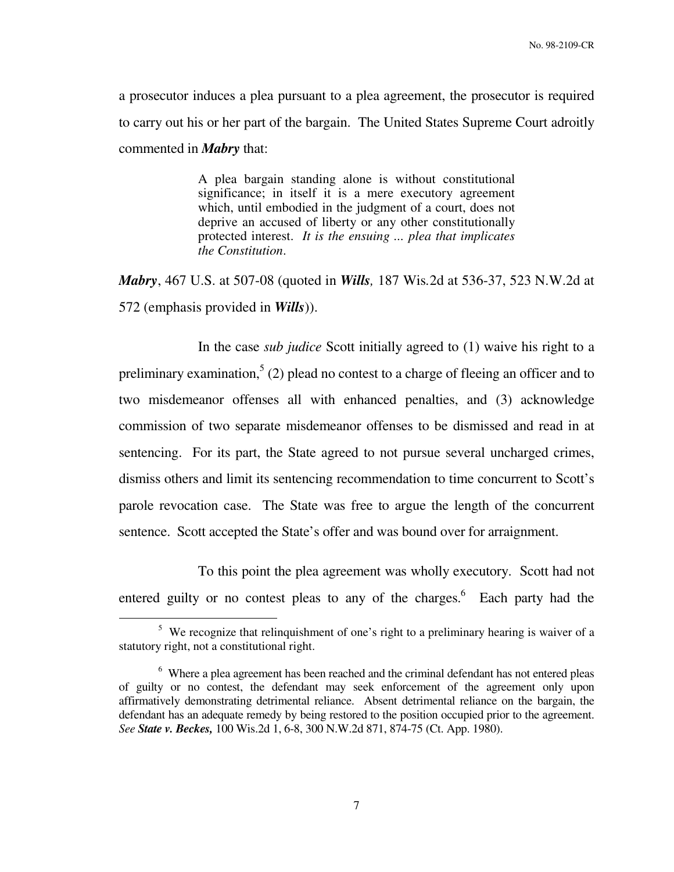a prosecutor induces a plea pursuant to a plea agreement, the prosecutor is required to carry out his or her part of the bargain. The United States Supreme Court adroitly commented in *Mabry* that:

> A plea bargain standing alone is without constitutional significance; in itself it is a mere executory agreement which, until embodied in the judgment of a court, does not deprive an accused of liberty or any other constitutionally protected interest. *It is the ensuing ... plea that implicates the Constitution*.

*Mabry*, 467 U.S. at 507-08 (quoted in *Wills,* 187 Wis*.*2d at 536-37, 523 N.W.2d at 572 (emphasis provided in *Wills*)).

 In the case *sub judice* Scott initially agreed to (1) waive his right to a preliminary examination,<sup>5</sup> (2) plead no contest to a charge of fleeing an officer and to two misdemeanor offenses all with enhanced penalties, and (3) acknowledge commission of two separate misdemeanor offenses to be dismissed and read in at sentencing. For its part, the State agreed to not pursue several uncharged crimes, dismiss others and limit its sentencing recommendation to time concurrent to Scott's parole revocation case. The State was free to argue the length of the concurrent sentence. Scott accepted the State's offer and was bound over for arraignment.

 To this point the plea agreement was wholly executory. Scott had not entered guilty or no contest pleas to any of the charges.<sup>6</sup> Each party had the

<sup>&</sup>lt;sup>5</sup> We recognize that relinquishment of one's right to a preliminary hearing is waiver of a statutory right, not a constitutional right.

<sup>&</sup>lt;sup>6</sup> Where a plea agreement has been reached and the criminal defendant has not entered pleas of guilty or no contest, the defendant may seek enforcement of the agreement only upon affirmatively demonstrating detrimental reliance. Absent detrimental reliance on the bargain, the defendant has an adequate remedy by being restored to the position occupied prior to the agreement. *See State v. Beckes,* 100 Wis.2d 1, 6-8, 300 N.W.2d 871, 874-75 (Ct. App. 1980).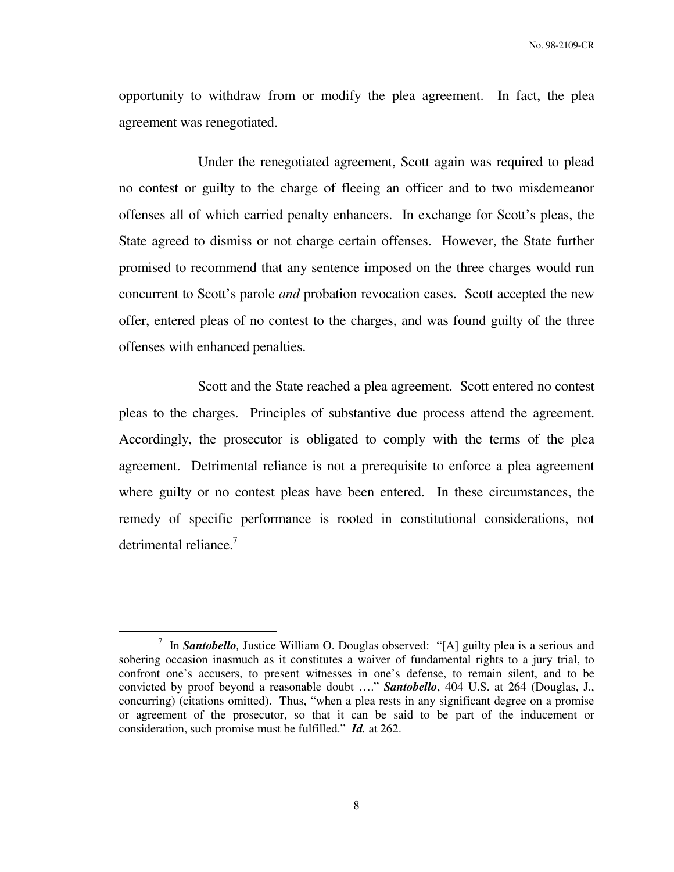opportunity to withdraw from or modify the plea agreement. In fact, the plea agreement was renegotiated.

 Under the renegotiated agreement, Scott again was required to plead no contest or guilty to the charge of fleeing an officer and to two misdemeanor offenses all of which carried penalty enhancers. In exchange for Scott's pleas, the State agreed to dismiss or not charge certain offenses. However, the State further promised to recommend that any sentence imposed on the three charges would run concurrent to Scott's parole *and* probation revocation cases. Scott accepted the new offer, entered pleas of no contest to the charges, and was found guilty of the three offenses with enhanced penalties.

 Scott and the State reached a plea agreement. Scott entered no contest pleas to the charges. Principles of substantive due process attend the agreement. Accordingly, the prosecutor is obligated to comply with the terms of the plea agreement. Detrimental reliance is not a prerequisite to enforce a plea agreement where guilty or no contest pleas have been entered. In these circumstances, the remedy of specific performance is rooted in constitutional considerations, not detrimental reliance.<sup>7</sup>

<sup>&</sup>lt;sup>7</sup> In **Santobello**, Justice William O. Douglas observed: "[A] guilty plea is a serious and sobering occasion inasmuch as it constitutes a waiver of fundamental rights to a jury trial, to confront one's accusers, to present witnesses in one's defense, to remain silent, and to be convicted by proof beyond a reasonable doubt …." *Santobello*, 404 U.S. at 264 (Douglas, J., concurring) (citations omitted). Thus, "when a plea rests in any significant degree on a promise or agreement of the prosecutor, so that it can be said to be part of the inducement or consideration, such promise must be fulfilled." *Id.* at 262.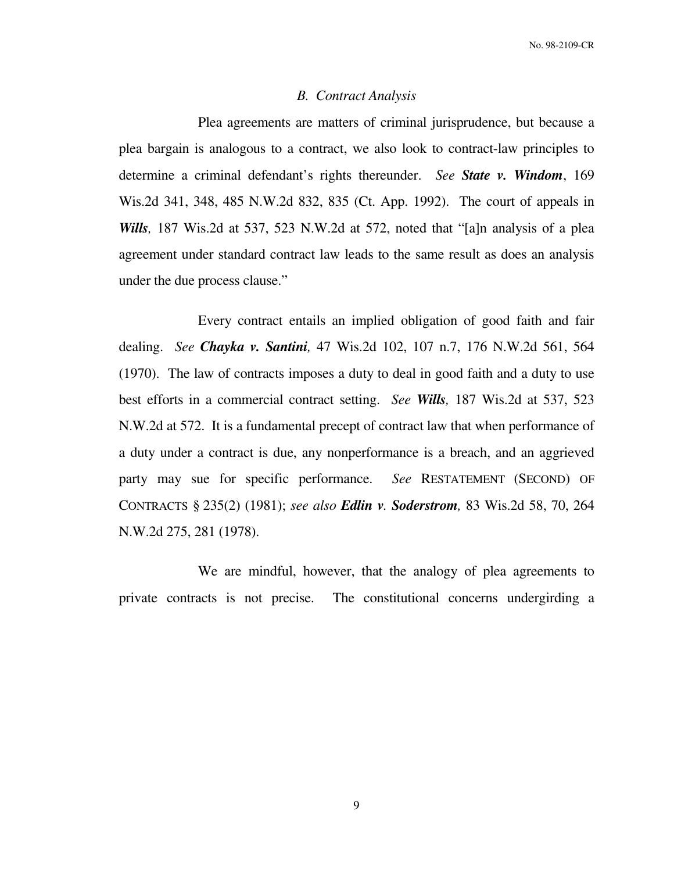#### *B. Contract Analysis*

 Plea agreements are matters of criminal jurisprudence, but because a plea bargain is analogous to a contract, we also look to contract-law principles to determine a criminal defendant's rights thereunder. *See State v. Windom*, 169 Wis.2d 341, 348, 485 N.W.2d 832, 835 (Ct. App. 1992). The court of appeals in *Wills,* 187 Wis.2d at 537, 523 N.W.2d at 572, noted that "[a]n analysis of a plea agreement under standard contract law leads to the same result as does an analysis under the due process clause."

 Every contract entails an implied obligation of good faith and fair dealing. *See Chayka v. Santini,* 47 Wis.2d 102, 107 n.7, 176 N.W.2d 561, 564 (1970). The law of contracts imposes a duty to deal in good faith and a duty to use best efforts in a commercial contract setting. *See Wills,* 187 Wis.2d at 537, 523 N.W.2d at 572. It is a fundamental precept of contract law that when performance of a duty under a contract is due, any nonperformance is a breach, and an aggrieved party may sue for specific performance. *See* RESTATEMENT (SECOND) OF CONTRACTS § 235(2) (1981); *see also Edlin v. Soderstrom,* 83 Wis.2d 58, 70, 264 N.W.2d 275, 281 (1978).

 We are mindful, however, that the analogy of plea agreements to private contracts is not precise. The constitutional concerns undergirding a

9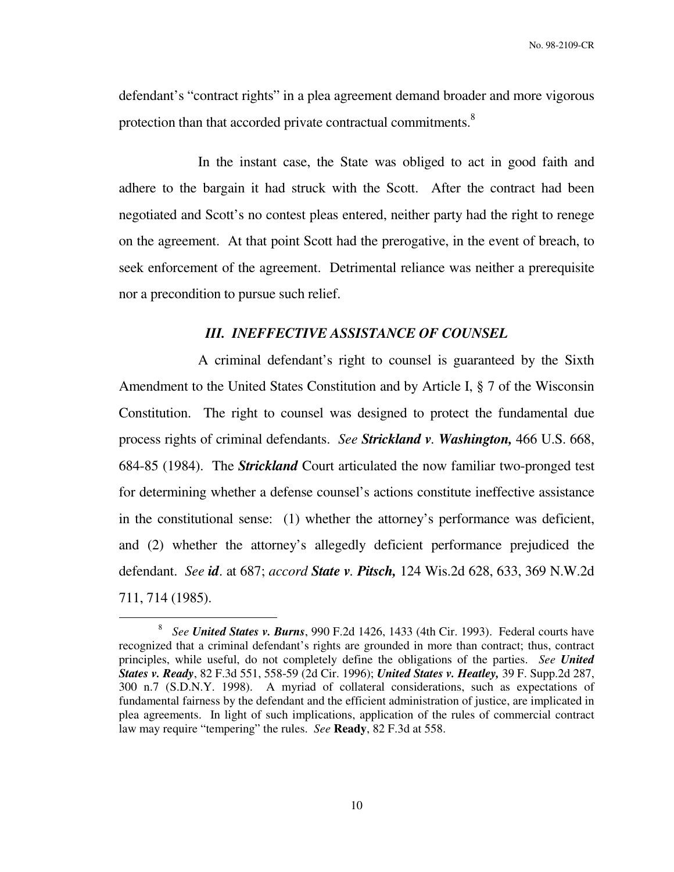defendant's "contract rights" in a plea agreement demand broader and more vigorous protection than that accorded private contractual commitments.<sup>8</sup>

 In the instant case, the State was obliged to act in good faith and adhere to the bargain it had struck with the Scott. After the contract had been negotiated and Scott's no contest pleas entered, neither party had the right to renege on the agreement. At that point Scott had the prerogative, in the event of breach, to seek enforcement of the agreement. Detrimental reliance was neither a prerequisite nor a precondition to pursue such relief.

## *III. INEFFECTIVE ASSISTANCE OF COUNSEL*

 A criminal defendant's right to counsel is guaranteed by the Sixth Amendment to the United States Constitution and by Article I, § 7 of the Wisconsin Constitution. The right to counsel was designed to protect the fundamental due process rights of criminal defendants. *See Strickland v. Washington,* 466 U.S. 668, 684-85 (1984). The *Strickland* Court articulated the now familiar two-pronged test for determining whether a defense counsel's actions constitute ineffective assistance in the constitutional sense: (1) whether the attorney's performance was deficient, and (2) whether the attorney's allegedly deficient performance prejudiced the defendant. *See id*. at 687; *accord State v. Pitsch,* 124 Wis.2d 628, 633, 369 N.W.2d 711, 714 (1985).

<sup>8</sup> *See United States v. Burns*, 990 F.2d 1426, 1433 (4th Cir. 1993). Federal courts have recognized that a criminal defendant's rights are grounded in more than contract; thus, contract principles, while useful, do not completely define the obligations of the parties. *See United States v. Ready*, 82 F.3d 551, 558-59 (2d Cir. 1996); *United States v. Heatley,* 39 F. Supp.2d 287, 300 n.7 (S.D.N.Y. 1998). A myriad of collateral considerations, such as expectations of fundamental fairness by the defendant and the efficient administration of justice, are implicated in plea agreements. In light of such implications, application of the rules of commercial contract law may require "tempering" the rules. *See* **Ready**, 82 F.3d at 558.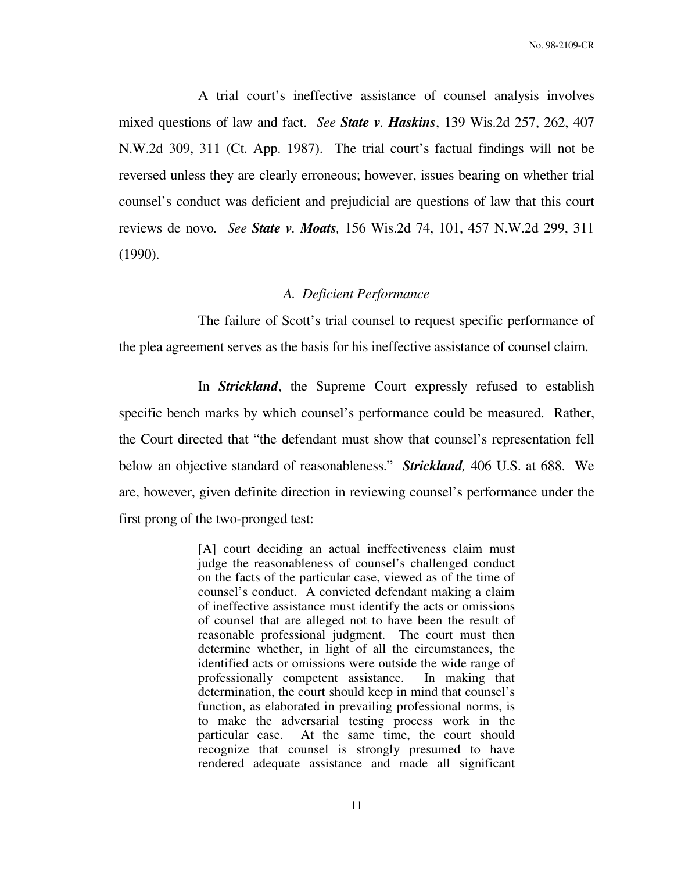A trial court's ineffective assistance of counsel analysis involves mixed questions of law and fact. *See State v. Haskins*, 139 Wis.2d 257, 262, 407 N.W.2d 309, 311 (Ct. App. 1987). The trial court's factual findings will not be reversed unless they are clearly erroneous; however, issues bearing on whether trial counsel's conduct was deficient and prejudicial are questions of law that this court reviews de novo*. See State v. Moats,* 156 Wis.2d 74, 101, 457 N.W.2d 299, 311 (1990).

### *A. Deficient Performance*

 The failure of Scott's trial counsel to request specific performance of the plea agreement serves as the basis for his ineffective assistance of counsel claim.

 In *Strickland*, the Supreme Court expressly refused to establish specific bench marks by which counsel's performance could be measured. Rather, the Court directed that "the defendant must show that counsel's representation fell below an objective standard of reasonableness." *Strickland,* 406 U.S. at 688. We are, however, given definite direction in reviewing counsel's performance under the first prong of the two-pronged test:

> [A] court deciding an actual ineffectiveness claim must judge the reasonableness of counsel's challenged conduct on the facts of the particular case, viewed as of the time of counsel's conduct. A convicted defendant making a claim of ineffective assistance must identify the acts or omissions of counsel that are alleged not to have been the result of reasonable professional judgment. The court must then determine whether, in light of all the circumstances, the identified acts or omissions were outside the wide range of professionally competent assistance. In making that determination, the court should keep in mind that counsel's function, as elaborated in prevailing professional norms, is to make the adversarial testing process work in the particular case. At the same time, the court should recognize that counsel is strongly presumed to have rendered adequate assistance and made all significant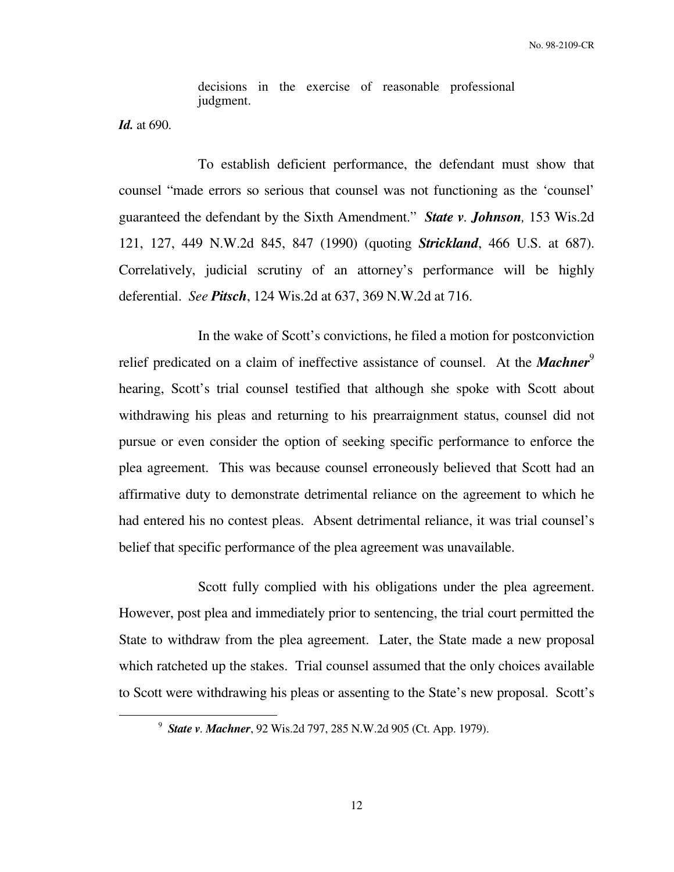decisions in the exercise of reasonable professional judgment.

*Id.* at 690.

 $\overline{a}$ 

 To establish deficient performance, the defendant must show that counsel "made errors so serious that counsel was not functioning as the 'counsel' guaranteed the defendant by the Sixth Amendment." *State v. Johnson,* 153 Wis.2d 121, 127, 449 N.W.2d 845, 847 (1990) (quoting *Strickland*, 466 U.S. at 687). Correlatively, judicial scrutiny of an attorney's performance will be highly deferential. *See Pitsch*, 124 Wis.2d at 637, 369 N.W.2d at 716.

 In the wake of Scott's convictions, he filed a motion for postconviction relief predicated on a claim of ineffective assistance of counsel. At the *Machner*<sup>9</sup> hearing, Scott's trial counsel testified that although she spoke with Scott about withdrawing his pleas and returning to his prearraignment status, counsel did not pursue or even consider the option of seeking specific performance to enforce the plea agreement. This was because counsel erroneously believed that Scott had an affirmative duty to demonstrate detrimental reliance on the agreement to which he had entered his no contest pleas. Absent detrimental reliance, it was trial counsel's belief that specific performance of the plea agreement was unavailable.

 Scott fully complied with his obligations under the plea agreement. However, post plea and immediately prior to sentencing, the trial court permitted the State to withdraw from the plea agreement. Later, the State made a new proposal which ratcheted up the stakes. Trial counsel assumed that the only choices available to Scott were withdrawing his pleas or assenting to the State's new proposal. Scott's

<sup>9</sup> *State v. Machner*, 92 Wis.2d 797, 285 N.W.2d 905 (Ct. App. 1979).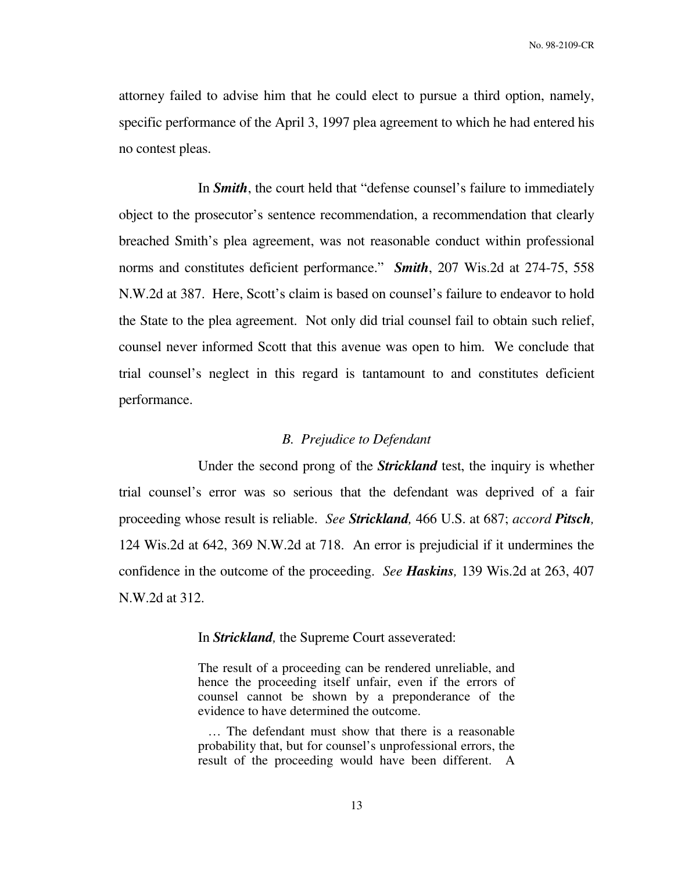attorney failed to advise him that he could elect to pursue a third option, namely, specific performance of the April 3, 1997 plea agreement to which he had entered his no contest pleas.

 In *Smith*, the court held that "defense counsel's failure to immediately object to the prosecutor's sentence recommendation, a recommendation that clearly breached Smith's plea agreement, was not reasonable conduct within professional norms and constitutes deficient performance." *Smith*, 207 Wis.2d at 274-75, 558 N.W.2d at 387. Here, Scott's claim is based on counsel's failure to endeavor to hold the State to the plea agreement. Not only did trial counsel fail to obtain such relief, counsel never informed Scott that this avenue was open to him. We conclude that trial counsel's neglect in this regard is tantamount to and constitutes deficient performance.

## *B. Prejudice to Defendant*

 Under the second prong of the *Strickland* test, the inquiry is whether trial counsel's error was so serious that the defendant was deprived of a fair proceeding whose result is reliable. *See Strickland,* 466 U.S. at 687; *accord Pitsch,* 124 Wis.2d at 642, 369 N.W.2d at 718. An error is prejudicial if it undermines the confidence in the outcome of the proceeding. *See Haskins,* 139 Wis.2d at 263, 407 N.W.2d at 312.

### In *Strickland,* the Supreme Court asseverated:

The result of a proceeding can be rendered unreliable, and hence the proceeding itself unfair, even if the errors of counsel cannot be shown by a preponderance of the evidence to have determined the outcome.

 … The defendant must show that there is a reasonable probability that, but for counsel's unprofessional errors, the result of the proceeding would have been different. A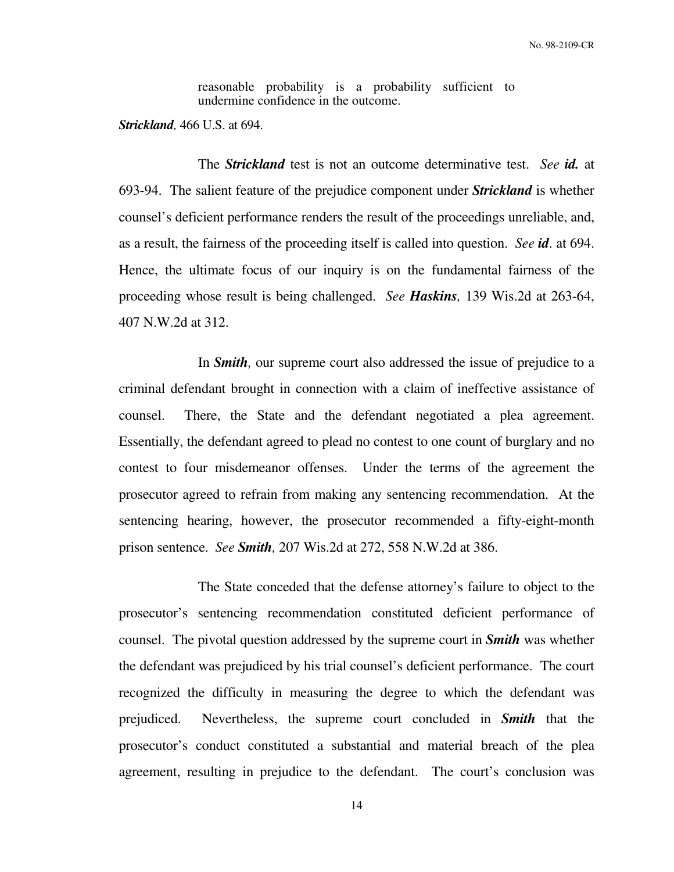reasonable probability is a probability sufficient to undermine confidence in the outcome.

*Strickland,* 466 U.S. at 694.

 The *Strickland* test is not an outcome determinative test. *See id.* at 693-94. The salient feature of the prejudice component under *Strickland* is whether counsel's deficient performance renders the result of the proceedings unreliable, and, as a result, the fairness of the proceeding itself is called into question. *See id*. at 694. Hence, the ultimate focus of our inquiry is on the fundamental fairness of the proceeding whose result is being challenged. *See Haskins,* 139 Wis.2d at 263-64, 407 N.W.2d at 312.

 In *Smith,* our supreme court also addressed the issue of prejudice to a criminal defendant brought in connection with a claim of ineffective assistance of counsel. There, the State and the defendant negotiated a plea agreement. Essentially, the defendant agreed to plead no contest to one count of burglary and no contest to four misdemeanor offenses. Under the terms of the agreement the prosecutor agreed to refrain from making any sentencing recommendation. At the sentencing hearing, however, the prosecutor recommended a fifty-eight-month prison sentence. *See Smith,* 207 Wis.2d at 272, 558 N.W.2d at 386.

 The State conceded that the defense attorney's failure to object to the prosecutor's sentencing recommendation constituted deficient performance of counsel. The pivotal question addressed by the supreme court in *Smith* was whether the defendant was prejudiced by his trial counsel's deficient performance. The court recognized the difficulty in measuring the degree to which the defendant was prejudiced. Nevertheless, the supreme court concluded in *Smith* that the prosecutor's conduct constituted a substantial and material breach of the plea agreement, resulting in prejudice to the defendant. The court's conclusion was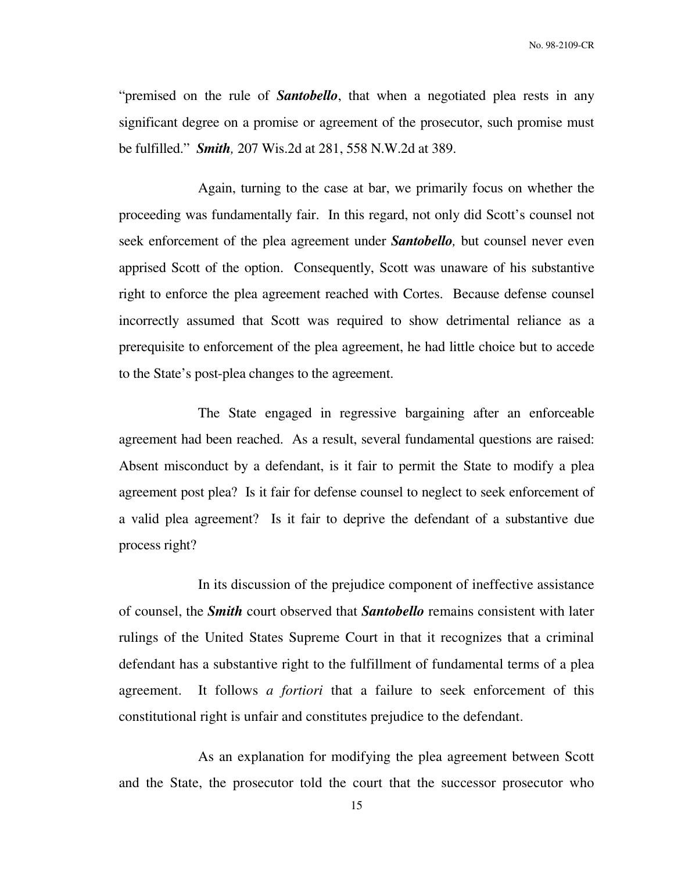"premised on the rule of *Santobello*, that when a negotiated plea rests in any significant degree on a promise or agreement of the prosecutor, such promise must be fulfilled." *Smith,* 207 Wis.2d at 281, 558 N.W.2d at 389.

 Again, turning to the case at bar, we primarily focus on whether the proceeding was fundamentally fair. In this regard, not only did Scott's counsel not seek enforcement of the plea agreement under *Santobello,* but counsel never even apprised Scott of the option. Consequently, Scott was unaware of his substantive right to enforce the plea agreement reached with Cortes. Because defense counsel incorrectly assumed that Scott was required to show detrimental reliance as a prerequisite to enforcement of the plea agreement, he had little choice but to accede to the State's post-plea changes to the agreement.

 The State engaged in regressive bargaining after an enforceable agreement had been reached. As a result, several fundamental questions are raised: Absent misconduct by a defendant, is it fair to permit the State to modify a plea agreement post plea? Is it fair for defense counsel to neglect to seek enforcement of a valid plea agreement? Is it fair to deprive the defendant of a substantive due process right?

 In its discussion of the prejudice component of ineffective assistance of counsel, the *Smith* court observed that *Santobello* remains consistent with later rulings of the United States Supreme Court in that it recognizes that a criminal defendant has a substantive right to the fulfillment of fundamental terms of a plea agreement. It follows *a fortiori* that a failure to seek enforcement of this constitutional right is unfair and constitutes prejudice to the defendant.

 As an explanation for modifying the plea agreement between Scott and the State, the prosecutor told the court that the successor prosecutor who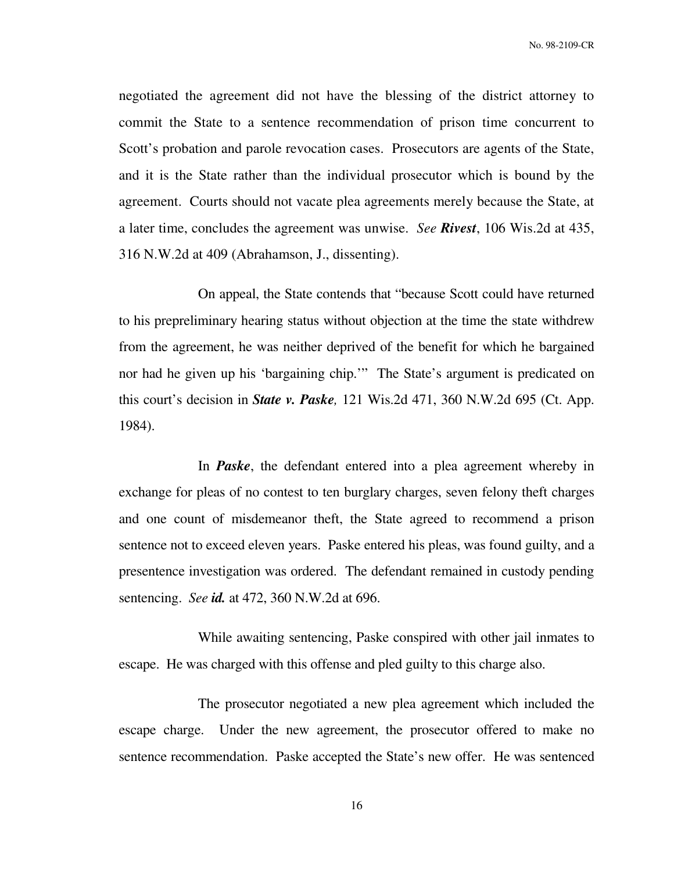negotiated the agreement did not have the blessing of the district attorney to commit the State to a sentence recommendation of prison time concurrent to Scott's probation and parole revocation cases. Prosecutors are agents of the State, and it is the State rather than the individual prosecutor which is bound by the agreement. Courts should not vacate plea agreements merely because the State, at a later time, concludes the agreement was unwise. *See Rivest*, 106 Wis.2d at 435, 316 N.W.2d at 409 (Abrahamson, J., dissenting).

 On appeal, the State contends that "because Scott could have returned to his prepreliminary hearing status without objection at the time the state withdrew from the agreement, he was neither deprived of the benefit for which he bargained nor had he given up his 'bargaining chip.'" The State's argument is predicated on this court's decision in *State v. Paske,* 121 Wis.2d 471, 360 N.W.2d 695 (Ct. App. 1984).

 In *Paske*, the defendant entered into a plea agreement whereby in exchange for pleas of no contest to ten burglary charges, seven felony theft charges and one count of misdemeanor theft, the State agreed to recommend a prison sentence not to exceed eleven years. Paske entered his pleas, was found guilty, and a presentence investigation was ordered. The defendant remained in custody pending sentencing. *See id.* at 472, 360 N.W.2d at 696.

 While awaiting sentencing, Paske conspired with other jail inmates to escape. He was charged with this offense and pled guilty to this charge also.

 The prosecutor negotiated a new plea agreement which included the escape charge. Under the new agreement, the prosecutor offered to make no sentence recommendation. Paske accepted the State's new offer. He was sentenced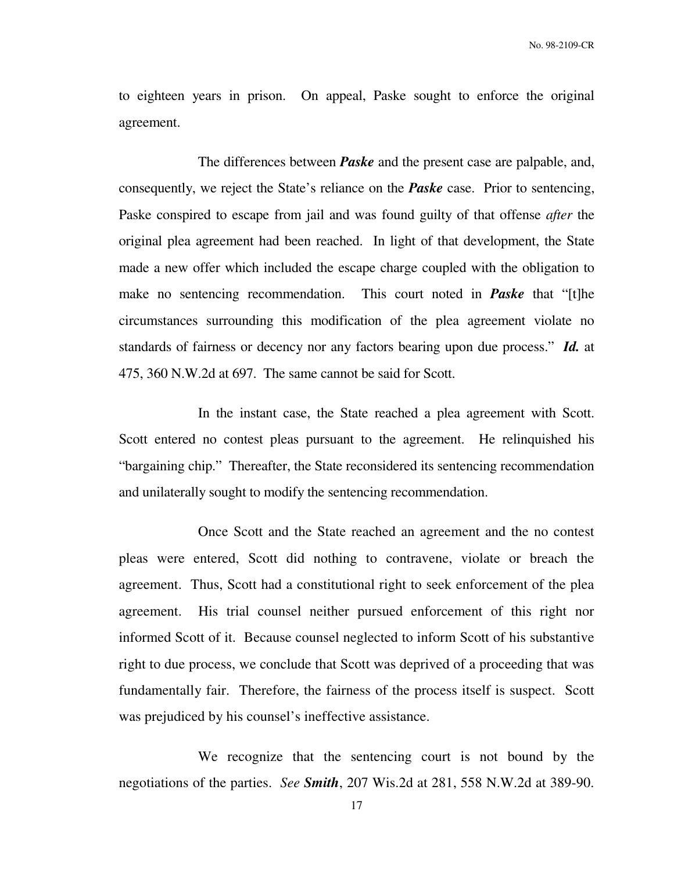to eighteen years in prison. On appeal, Paske sought to enforce the original agreement.

 The differences between *Paske* and the present case are palpable, and, consequently, we reject the State's reliance on the *Paske* case. Prior to sentencing, Paske conspired to escape from jail and was found guilty of that offense *after* the original plea agreement had been reached. In light of that development, the State made a new offer which included the escape charge coupled with the obligation to make no sentencing recommendation. This court noted in *Paske* that "[t]he circumstances surrounding this modification of the plea agreement violate no standards of fairness or decency nor any factors bearing upon due process." *Id.* at 475, 360 N.W.2d at 697. The same cannot be said for Scott.

 In the instant case, the State reached a plea agreement with Scott. Scott entered no contest pleas pursuant to the agreement. He relinquished his "bargaining chip." Thereafter, the State reconsidered its sentencing recommendation and unilaterally sought to modify the sentencing recommendation.

 Once Scott and the State reached an agreement and the no contest pleas were entered, Scott did nothing to contravene, violate or breach the agreement. Thus, Scott had a constitutional right to seek enforcement of the plea agreement. His trial counsel neither pursued enforcement of this right nor informed Scott of it. Because counsel neglected to inform Scott of his substantive right to due process, we conclude that Scott was deprived of a proceeding that was fundamentally fair. Therefore, the fairness of the process itself is suspect. Scott was prejudiced by his counsel's ineffective assistance.

 We recognize that the sentencing court is not bound by the negotiations of the parties. *See Smith*, 207 Wis.2d at 281, 558 N.W.2d at 389-90.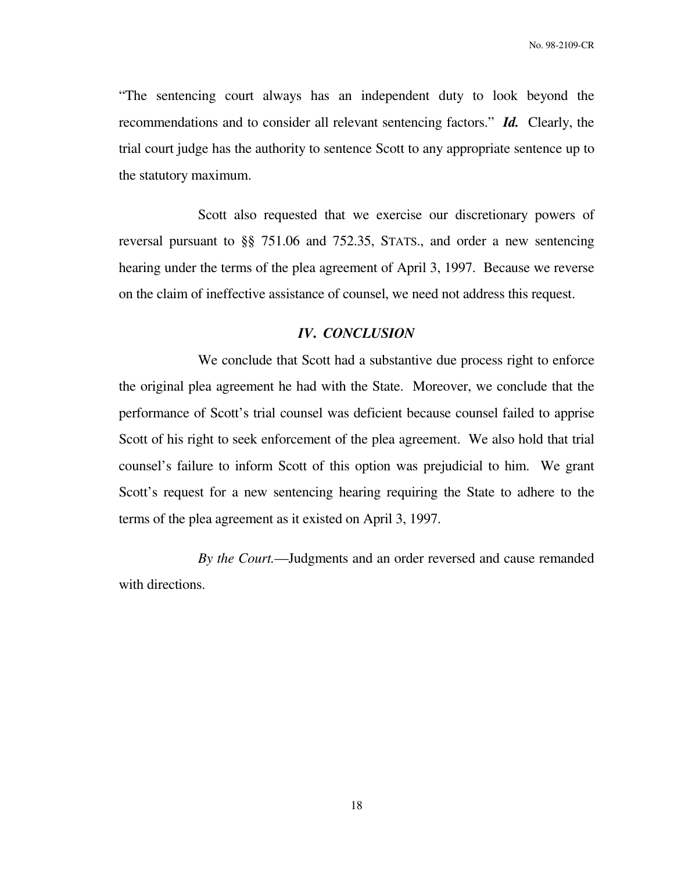"The sentencing court always has an independent duty to look beyond the recommendations and to consider all relevant sentencing factors." *Id.* Clearly, the trial court judge has the authority to sentence Scott to any appropriate sentence up to the statutory maximum.

 Scott also requested that we exercise our discretionary powers of reversal pursuant to §§ 751.06 and 752.35, STATS., and order a new sentencing hearing under the terms of the plea agreement of April 3, 1997. Because we reverse on the claim of ineffective assistance of counsel, we need not address this request.

## *IV***.** *CONCLUSION*

 We conclude that Scott had a substantive due process right to enforce the original plea agreement he had with the State. Moreover, we conclude that the performance of Scott's trial counsel was deficient because counsel failed to apprise Scott of his right to seek enforcement of the plea agreement. We also hold that trial counsel's failure to inform Scott of this option was prejudicial to him. We grant Scott's request for a new sentencing hearing requiring the State to adhere to the terms of the plea agreement as it existed on April 3, 1997.

 *By the Court.*—Judgments and an order reversed and cause remanded with directions.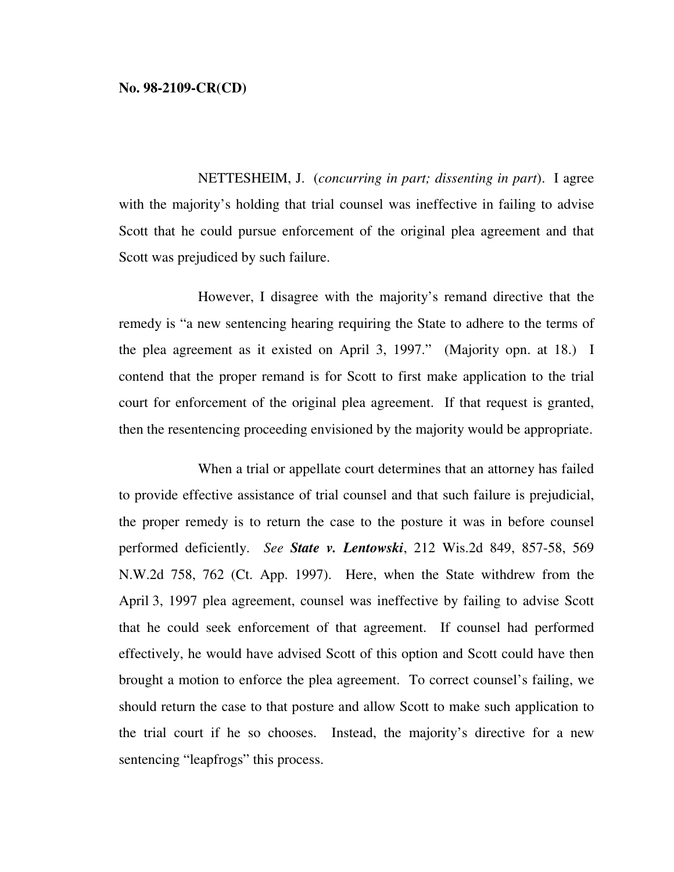NETTESHEIM, J. (*concurring in part; dissenting in part*). I agree with the majority's holding that trial counsel was ineffective in failing to advise Scott that he could pursue enforcement of the original plea agreement and that Scott was prejudiced by such failure.

 However, I disagree with the majority's remand directive that the remedy is "a new sentencing hearing requiring the State to adhere to the terms of the plea agreement as it existed on April 3, 1997." (Majority opn. at 18.) I contend that the proper remand is for Scott to first make application to the trial court for enforcement of the original plea agreement. If that request is granted, then the resentencing proceeding envisioned by the majority would be appropriate.

 When a trial or appellate court determines that an attorney has failed to provide effective assistance of trial counsel and that such failure is prejudicial, the proper remedy is to return the case to the posture it was in before counsel performed deficiently. *See State v. Lentowski*, 212 Wis.2d 849, 857-58, 569 N.W.2d 758, 762 (Ct. App. 1997). Here, when the State withdrew from the April 3, 1997 plea agreement, counsel was ineffective by failing to advise Scott that he could seek enforcement of that agreement. If counsel had performed effectively, he would have advised Scott of this option and Scott could have then brought a motion to enforce the plea agreement. To correct counsel's failing, we should return the case to that posture and allow Scott to make such application to the trial court if he so chooses. Instead, the majority's directive for a new sentencing "leapfrogs" this process.